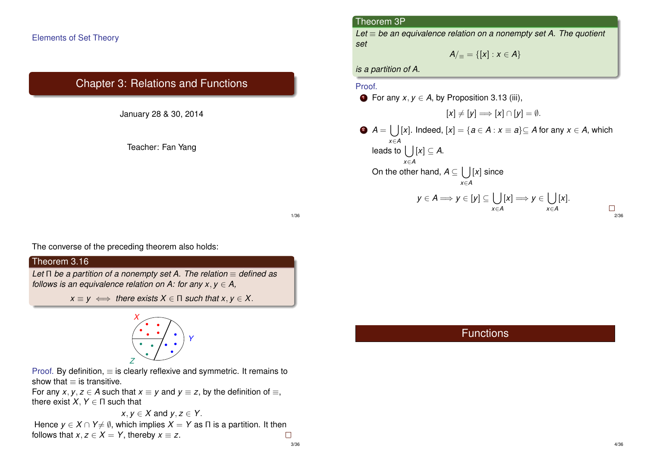## Elements of Set Theory

# Chapter 3: Relations and Functions

January 28 & 30, 2014

Teacher: Fan Yang

#### Theorem 3P

*Let* ≡ *be an equivalence relation on a nonempty set A. The quotient set*

$$
A/_{\equiv} = \{ [x] : x \in A \}
$$

*is a partition of A.*

#### Proof.

**1** For any  $x, y \in A$ , by Proposition 3.13 (iii),  $[x] \neq [y] \Longrightarrow [x] \cap [y] = \emptyset.$ <sup>2</sup> *A* = [ [*x*]. Indeed, [*x*] = {*a* ∈ *A* : *x* ≡ *a*}⊆ *A* for any *x* ∈ *A*, which *x*∈*A* leads to  $\left[\begin{array}{c} |[x] \subseteq A.\end{array}\right]$ *x*∈*A* On the other hand,  $A \subseteq \left[ \begin{array}{c} | \\ | \end{array} \right]$  since *x*∈*A y* ∈ *A* ⇒ *y* ∈ [*y*] ⊆ [ ]  $[x] \Longrightarrow y \in [$ [*x*].  $\Box$ *x*∈*A x*∈*A* 2/36

1/36

The converse of the preceding theorem also holds:

# Theorem 3.16

*Let* Π *be a partition of a nonempty set A. The relation* ≡ *defined as follows is an equivalence relation on A: for any*  $x, y \in A$ *,* 

 $x \equiv y \iff$  *there exists*  $X \in \Pi$  *such that*  $x, y \in X$ .



Proof. By definition,  $\equiv$  is clearly reflexive and symmetric. It remains to show that  $\equiv$  is transitive.

For any *x*, *y*, *z*  $\in$  *A* such that *x*  $\equiv$  *y* and *y*  $\equiv$  *z*, by the definition of  $\equiv$ , there exist  $X, Y \in \Pi$  such that

$$
x, y \in X
$$
 and  $y, z \in Y$ .  
which implies  $Y - Y$  as  $\Pi$ 

Hence  $y \in X \cap Y \neq \emptyset$ , which implies  $X = Y$  as  $\Pi$  is a partition. It then follows that  $x, z \in X = Y$ , thereby  $x \equiv z$ .  $\Box$ 3/36 **Functions**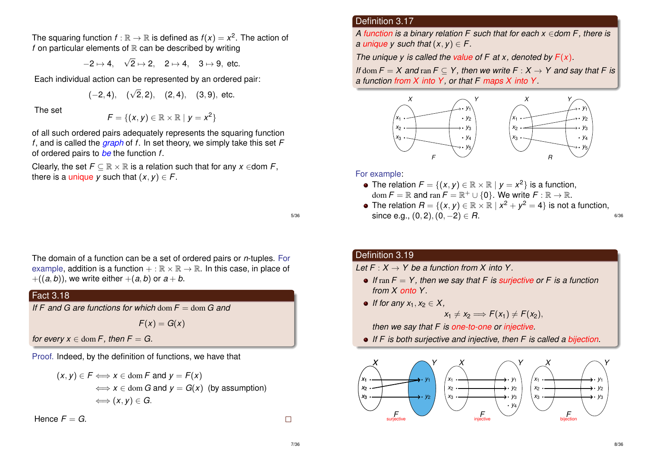The squaring function  $f:\mathbb{R}\to\mathbb{R}$  is defined as  $f(x)=x^2.$  The action of *f* on particular elements of  $\mathbb R$  can be described by writing

> $-2 \mapsto 4,$ √  $2 \mapsto 2, \quad 2 \mapsto 4, \quad 3 \mapsto 9, \text{ etc.}$

Each individual action can be represented by an ordered pair:

$$
(-2, 4), \quad (\sqrt{2}, 2), \quad (2, 4), \quad (3, 9), \text{ etc.}
$$

The set

*F* = { $(x, y) \in \mathbb{R} \times \mathbb{R} \mid y = x^2$ }

of all such ordered pairs adequately represents the squaring function *f*, and is called the *graph* of *f*. In set theory, we simply take this set *F* of ordered pairs to *be* the function *f*.

Clearly, the set  $F \subseteq \mathbb{R} \times \mathbb{R}$  is a relation such that for any  $x \in$  dom  $F$ , there is a *unique y* such that  $(x, y) \in F$ .

5/36

The domain of a function can be a set of ordered pairs or *n*-tuples. For example, addition is a function  $+ : \mathbb{R} \times \mathbb{R} \to \mathbb{R}$ . In this case, in place of  $+( (a, b))$ , we write either  $+(a, b)$  or  $a + b$ .

# Fact 3.18

*If F and G are functions for which* dom *F* = dom *G and*

 $F(x) = G(x)$ 

*for every*  $x \in \text{dom } F$ *, then*  $F = G$ .

Proof. Indeed, by the definition of functions, we have that

$$
(x, y) \in F \Longleftrightarrow x \in \text{dom } F \text{ and } y = F(x)
$$
  

$$
\Longleftrightarrow x \in \text{dom } G \text{ and } y = G(x) \text{ (by assumption)}
$$
  

$$
\Longleftrightarrow (x, y) \in G.
$$

Hence  $F = G$ .

Definition 3.17

*A function is a binary relation F such that for each x* ∈*dom F, there is a unique*  $v$  *such that*  $(x, v) \in F$ .

*The unique y is called the value of F at x, denoted by F*(*x*)*.*

*If* dom  $F = X$  and ran  $F \subset Y$ , then we write  $F : X \to Y$  and say that F is *a function from X into Y, or that F maps X into Y.*



#### For example:

- The relation  $F = \{(x, y) \in \mathbb{R} \times \mathbb{R} \mid y = x^2\}$  is a function,  $dom F = \mathbb{R}$  and  $ran F = \mathbb{R}^+ \cup \{0\}$ . We write  $F : \mathbb{R} \to \mathbb{R}$ .
- The relation  $R = \{(x, y) \in \mathbb{R} \times \mathbb{R} \mid x^2 + y^2 = 4\}$  is not a function, since e.g.,  $(0, 2)$ ,  $(0, -2) \in R$ .

## Definition 3.19

*Let*  $F \cdot X \rightarrow Y$  be a function from X into Y

- *If* ran *F* = *Y , then we say that F is surjective or F is a function from X onto Y .*
- *If for any*  $x_1, x_2 \in X$ ,

$$
x_1 \neq x_2 \Longrightarrow F(x_1) \neq F(x_2),
$$

*then we say that F is one-to-one or injective.*

*If F is both surjective and injective, then F is called a bijection.*



 $\Box$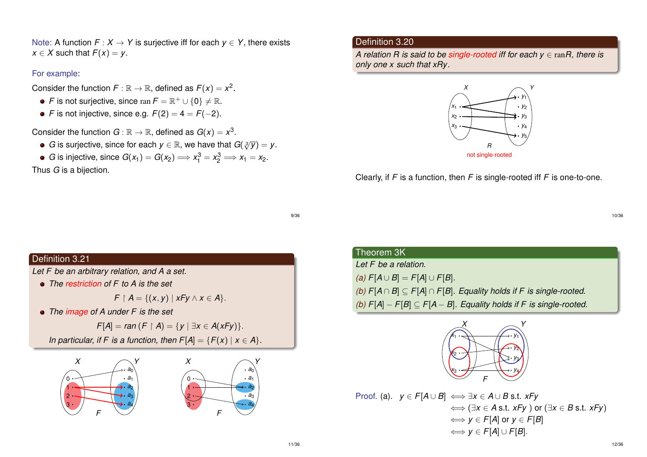Note: A function  $F: X \to Y$  is surjective iff for each  $y \in Y$ , there exists  $x \in X$  such that  $F(x) = y$ .

#### For example:

Consider the function  $F : \mathbb{R} \to \mathbb{R}$ , defined as  $F(x) = x^2$ .

- *F* is not surjective, since  $\text{ran } F = \mathbb{R}^+ \cup \{0\} \neq \mathbb{R}$ .
- *F* is not injective, since e.g.  $F(2) = 4 = F(-2)$ .

Consider the function  $G : \mathbb{R} \to \mathbb{R}$ , defined as  $G(x) = x^3$ .

- *G* is surjective, since for each  $y \in \mathbb{R}$ , we have that  $G(\sqrt[3]{y}) = y$ .
- *G* is injective, since  $G(x_1) = G(x_2) \Longrightarrow x_1^3 = x_2^3 \Longrightarrow x_1 = x_2$ .

Thus *G* is a bijection.

## Definition 3.20

*A relation R is said to be single-rooted iff for each y* ∈ ran*R, there is only one x such that xRy.*



Clearly, if *F* is a function, then *F* is single-rooted iff *F* is one-to-one.

9/36

## Definition 3.21

*Let F be an arbitrary relation, and A a set.*

*The restriction of F to A is the set*

 $F \upharpoonright A = \{(x, y) \mid xFy \land x \in A\}.$ 

*The image of A under F is the set*

*F*[*A*] = *ran* (*F*  $\upharpoonright$  *A*) = {*y*  $|\exists x \in A(xFy)|$ .

*In particular, if F is a function, then*  $F[A] = {F(x) | x \in A}.$ 



| Theorem 3K                                                                         |
|------------------------------------------------------------------------------------|
| Let F be a relation.                                                               |
| (a) $F[A \cup B] = F[A] \cup F[B]$ .                                               |
| (b) $F[A \cap B] \subseteq F[A] \cap F[B]$ . Equality holds if F is single-rooted. |
| (b) $F[A] - F[B] \subseteq F[A - B]$ . Equality holds if F is single-rooted.       |



Proof. (a).  $y \in F[A \cup B] \iff \exists x \in A \cup B \text{ s.t. } xFy$ ⇐⇒ (∃*x* ∈ *A* s.t. *xFy* ) or (∃*x* ∈ *B* s.t. *xFy*)  $\iff$  *y*  $\in$  *F*[*A*] or *y*  $\in$  *F*[*B*] ⇐⇒ *y* ∈ *F*[*A*] ∪ *F*[*B*].

10/36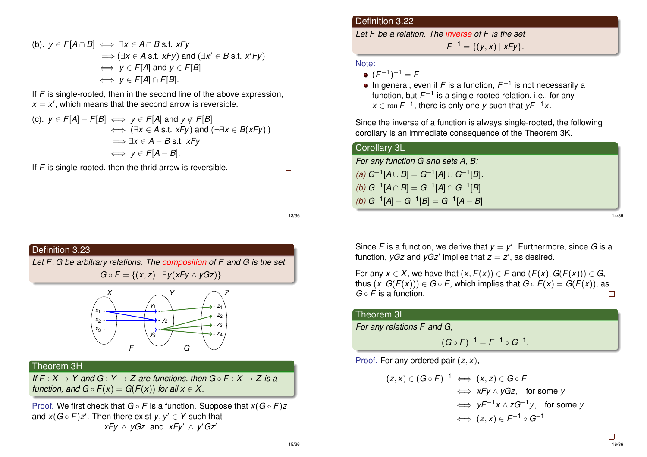(b). 
$$
y \in F[A \cap B] \iff \exists x \in A \cap B \text{ s.t. } xFy
$$
  
\n $\implies (\exists x \in A \text{ s.t. } xFy) \text{ and } (\exists x' \in B \text{ s.t. } x'Fy)$   
\n $\iff y \in F[A] \text{ and } y \in F[B]$   
\n $\iff y \in F[A] \cap F[B].$ 

If *F* is single-rooted, then in the second line of the above expression,  $x = x'$ , which means that the second arrow is reversible.

(c). 
$$
y \in F[A] - F[B] \iff y \in F[A]
$$
 and  $y \notin F[B]$   
\n $\iff (\exists x \in A \text{ s.t. } xFy) \text{ and } (\neg \exists x \in B(xFy))$   
\n $\Rightarrow \exists x \in A - B \text{ s.t. } xFy$   
\n $\iff y \in F[A - B].$ 

If *F* is single-rooted, then the thrid arrow is reversible.

 $\Box$ 

13/36



## Theorem 3H

*If*  $F : X \to Y$  and  $G : Y \to Z$  are functions, then  $G \circ F : X \to Z$  is a *function, and*  $G \circ F(x) = G(F(x))$  *for all*  $x \in X$ *.* 

Proof. We first check that *G* ◦ *F* is a function. Suppose that *x*(*G* ◦ *F*)*z* and  $x(G \circ F)z'$ . Then there exist  $y, y' \in Y$  such that  $xFy \wedge yGz$  and  $xFy' \wedge y'Gz'.$ 

## Definition 3.22

*Let F be a relation. The inverse of F is the set*

 $F^{-1} = \{ (y, x) | xFy \}.$ 

#### Note:

- $(F^{-1})^{-1} = F$
- In general, even if *F* is a function,  $F^{-1}$  is not necessarily a function, but F<sup>−1</sup> is a single-rooted relation, i.e., for any  $x \in \text{ran } F^{-1}$ , there is only one *y* such that  $yF^{-1}x$ .

Since the inverse of a function is always single-rooted, the following corollary is an immediate consequence of the Theorem 3K.

## Corollary 3L

*For any function G and sets A, B:*  $(a)$   $G^{-1}[A \cup B] = G^{-1}[A] \cup G^{-1}[B]$ *.*  $(b)$   $G^{-1}[A ∩ B] = G^{-1}[A] ∩ G^{-1}[B]$ *.*  $(A)$  *G*<sup>−1</sup>[*A*] − *G*<sup>−1</sup>[*B*] = *G*<sup>−1</sup>[*A* − *B*]

14/36

Since *F* is a function, we derive that  $y = y'$ . Furthermore, since *G* is a function,  $yGz$  and  $yGz'$  implies that  $z = z'$ , as desired.

For any  $x \in X$ , we have that  $(x, F(x)) \in F$  and  $(F(x), G(F(x))) \in G$ , thus  $(x, G(F(x))) \in G \circ F$ , which implies that  $G \circ F(x) = G(F(x))$ , as *G* ◦ *F* is a function.  $\Box$ 

## Theorem 3I

*For any relations F and G,*

 $(G \circ F)^{-1} = F^{-1} \circ G^{-1}.$ 

Proof. For any ordered pair (*z*, *x*),

$$
(z, x) \in (G \circ F)^{-1} \iff (x, z) \in G \circ F
$$
  
\n
$$
\iff xFy \land yGz, \text{ for some } y
$$
  
\n
$$
\iff yF^{-1}x \land zG^{-1}y, \text{ for some } y
$$
  
\n
$$
\iff (z, x) \in F^{-1} \circ G^{-1}
$$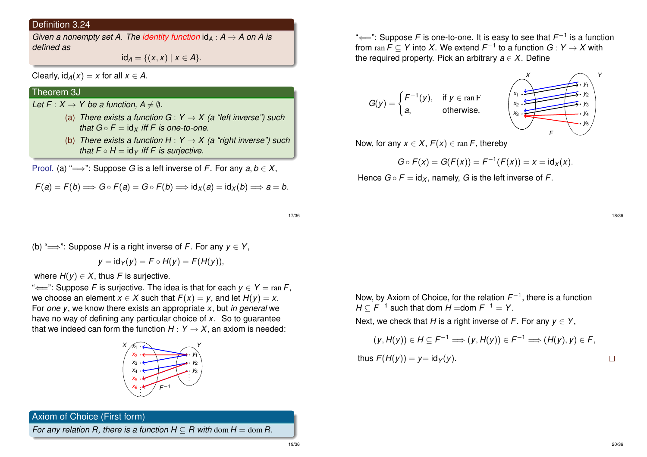#### Definition 3.24

*Given a nonempty set A. The identity function*  $id_A : A \rightarrow A$  on A is *defined as*

 $id_A = \{(x, x) | x \in A\}.$ 

Clearly,  $\text{id}_{A}(x) = x$  for all  $x \in A$ .

# Theorem 3J

*Let*  $F: X \to Y$  *be a function,*  $A \neq \emptyset$ .

- (a) *There exists a function G* :  $Y \rightarrow X$  (a "left inverse") such *that*  $G \circ F = id_X$  *iff* F *is one-to-one.*
- (b) *There exists a function H* :  $Y \rightarrow X$  (a "right inverse") such *that*  $F \circ H = id_Y$  *iff*  $F$  *is surjective.*

Proof. (a) " $\Longrightarrow$ ": Suppose *G* is a left inverse of *F*. For any  $a, b \in X$ ,

$$
F(a) = F(b) \Longrightarrow G \circ F(a) = G \circ F(b) \Longrightarrow id_X(a) = id_X(b) \Longrightarrow a = b.
$$

"←": Suppose *F* is one-to-one. It is easy to see that  $\mathit{F}^{-1}$  is a function from  $\text{ran } \mathcal{F} \subseteq \mathcal{Y}$  into  $X$ . We extend  $\mathcal{F}^{-1}$  to a function  $G: Y \to X$  with the required property. Pick an arbitrary  $a \in X$ . Define

$$
G(y) = \begin{cases} F^{-1}(y), & \text{if } y \in \operatorname{ran} F \\ a, & \text{otherwise.} \end{cases} \qquad \qquad \begin{cases} x_1 \cdot \overbrace{\sum_{x_2 \cdot \sum_{y_2} x_1 \cdot y_2}}^{x_1 \cdot \overbrace{\sum_{y_2} x_3}} \cdot y_1 \\ x_2 \cdot \overbrace{\sum_{y_3} x_2 \cdot y_3}}^{x_1 \cdot y_2} \cdot y_4 \end{cases}
$$

Now, for any  $x \in X$ ,  $F(x) \in \text{ran } F$ , thereby

$$
G \circ F(x) = G(F(x)) = F^{-1}(F(x)) = x = id_X(x).
$$

Hence  $G \circ F = id_X$ , namely, G is the left inverse of F.

17/36

(b) "
$$
\implies
$$
". Suppose *H* is a right inverse of *F*. For any  $y \in Y$ 

$$
y = id_Y(y) = F \circ H(y) = F(H(y)),
$$

where  $H(y) \in X$ , thus *F* is surjective.

" $\Longleftarrow$ ": Suppose *F* is surjective. The idea is that for each  $y \in Y = \text{ran } F$ , we choose an element  $x \in X$  such that  $F(x) = y$ , and let  $H(y) = x$ . For *one y*, we know there exists an appropriate *x*, but *in general* we have no way of defining any particular choice of *x*. So to guarantee that we indeed can form the function  $H: Y \rightarrow X$ , an axiom is needed:



Axiom of Choice (First form)

*For any relation R, there is a function*  $H \subset R$  *with dom*  $H = \text{dom } R$ *.* 

*X Y*

*F*

Now, by Axiom of Choice, for the relation  $F^{-1}$ , there is a function  $H \subseteq F^{-1}$  such that dom  $H =$ dom  $F^{-1} = Y$ .

Next, we check that *H* is a right inverse of *F*. For any  $y \in Y$ ,

$$
(y, H(y)) \in H \subseteq F^{-1} \Longrightarrow (y, H(y)) \in F^{-1} \Longrightarrow (H(y), y) \in F,
$$
  
thus  $F(H(y)) = y = id_Y(y)$ .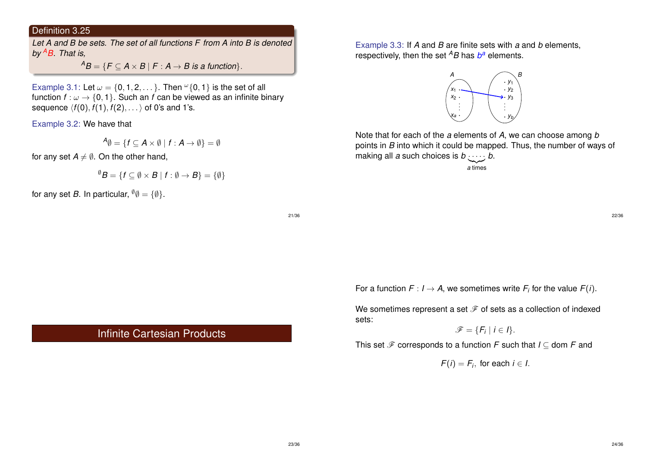# Definition 3.25

*Let A and B be sets. The set of all functions F from A into B is denoted by <sup>A</sup>B. That is,*

 ${}^{A}B = \{F \subseteq A \times B \mid F : A \rightarrow B \text{ is a function}\}.$ 

Example 3.1: Let  $\omega = \{0, 1, 2, \dots\}$ . Then  $\omega\{0, 1\}$  is the set of all function  $f: \omega \to \{0, 1\}$ . Such an *f* can be viewed as an infinite binary sequence  $\langle f(0), f(1), f(2), \ldots \rangle$  of 0's and 1's.

Example 3.2: We have that

$$
{}^{\boldsymbol{A}}\emptyset = \{f \subseteq \boldsymbol{A} \times \emptyset \mid f: \boldsymbol{A} \rightarrow \emptyset\} = \emptyset
$$

for any set  $A \neq \emptyset$ . On the other hand,

$$
{}^{\emptyset}B = \{f \subseteq \emptyset \times B \mid f : \emptyset \to B\} = \{\emptyset\}
$$

for any set *B*. In particular,  $\vartheta \varnothing = {\varnothing}$ .

21/36

# Infinite Cartesian Products

Example 3.3: If *A* and *B* are finite sets with *a* and *b* elements, respectively, then the set *<sup>A</sup>B* has *b <sup>a</sup>* elements.



Note that for each of the *a* elements of *A*, we can choose among *b* points in *B* into which it could be mapped. Thus, the number of ways of making all *a* such choices is  $b \cdot \cdot \cdot \cdot$  *b*.

| {z } *a* times

22/36

For a function  $F: I \rightarrow A$ , we sometimes write  $F_i$  for the value  $F(i)$ .

We sometimes represent a set  $\mathcal F$  of sets as a collection of indexed sets:

$$
\mathscr{F} = \{F_i \mid i \in I\}.
$$

This set  $\mathscr F$  corresponds to a function *F* such that  $I \subset$  dom *F* and

 $F(i) = F_i$ , for each  $i \in I$ .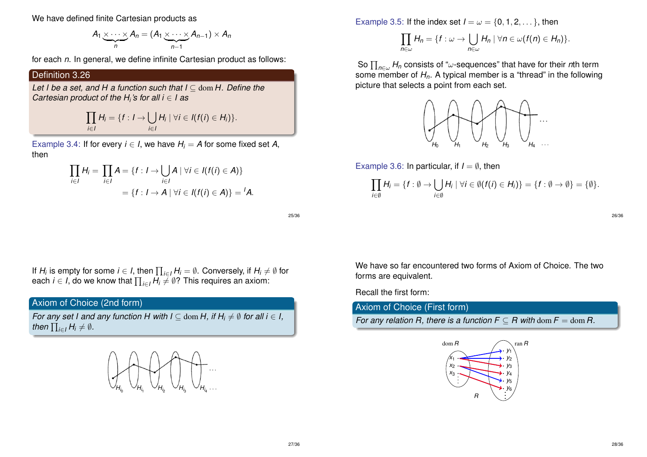We have defined finite Cartesian products as

$$
A_1 \underbrace{\times \cdots \times}_{n} A_n = (A_1 \underbrace{\times \cdots \times}_{n-1} A_{n-1}) \times A_n
$$

for each *n*. In general, we define infinite Cartesian product as follows:

Definition 3.26

*Let I be a set, and H a function such that I* ⊆ dom *H. Define the Cartesian product of the H<sup>i</sup> 's for all i* ∈ *I as*

$$
\prod_{i\in I}H_i=\{f: I\rightarrow \bigcup_{i\in I}H_i\mid \forall i\in I(f(i)\in H_i)\}.
$$

Example 3.4: If for every  $i \in I$ , we have  $H_i = A$  for some fixed set A, then

$$
\prod_{i \in I} H_i = \prod_{i \in I} A = \{f : I \rightarrow \bigcup_{i \in I} A \mid \forall i \in I (f(i) \in A)\}
$$

$$
= \{f : I \rightarrow A \mid \forall i \in I (f(i) \in A)\} = {}^t A.
$$

25/36

If  $H_i$  is empty for some  $i \in I$ , then  $\prod_{i \in I} H_i = \emptyset$ . Conversely, if  $H_i \neq \emptyset$  for each *i*  $\in$  *I*, do we know that  $\prod_{i \in I} H_i \neq \emptyset$ ? This requires an axiom:

# Axiom of Choice (2nd form)

*For any set I and any function H with I*  $\subseteq$  dom *H*, *if H<sub>i</sub>*  $\neq$  *Ø for all i*  $\in$  *I*, then  $\prod_{i\in I} H_i \neq \emptyset$ .



Example 3.5: If the index set  $I = \omega = \{0, 1, 2, \dots\}$ , then

$$
\prod_{n\in\omega}H_n=\{f:\omega\to\bigcup_{n\in\omega}H_n\mid\forall n\in\omega(f(n)\in H_n)\}.
$$

So Q *<sup>n</sup>*∈<sup>ω</sup> *H<sup>n</sup>* consists of "ω-sequences" that have for their *n*th term some member of *Hn*. A typical member is a "thread" in the following picture that selects a point from each set.



Example 3.6: In particular, if  $I = \emptyset$ , then

$$
\prod_{i\in\emptyset}H_i=\{f:\emptyset\rightarrow\bigcup_{i\in\emptyset}H_i\mid\forall i\in\emptyset (f(i)\in H_i)\}=\{f:\emptyset\rightarrow\emptyset\}=\{\emptyset\}.
$$

26/36

We have so far encountered two forms of Axiom of Choice. The two forms are equivalent.

Recall the first form:

Axiom of Choice (First form)

*For any relation R, there is a function*  $F \subseteq R$  *with dom*  $F = \text{dom } R$ *.* 

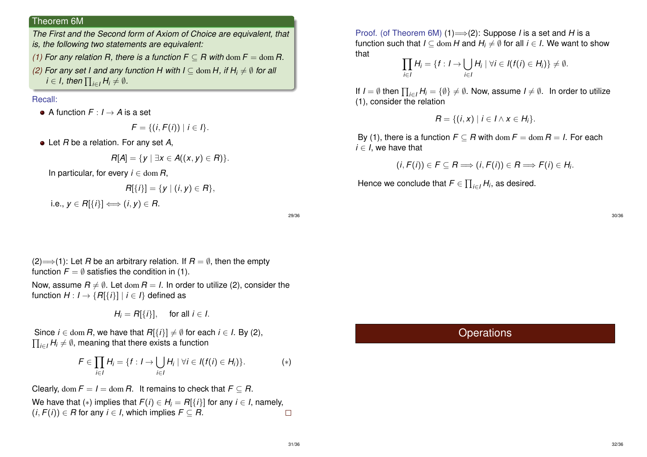#### Theorem 6M

*The First and the Second form of Axiom of Choice are equivalent, that is, the following two statements are equivalent:*

- *(1)* For any relation R, there is a function  $F \subset R$  with dom  $F = \text{dom } R$ .
- *(2)* For any set I and any function H with  $I \subseteq$  dom H, if  $H_i \neq \emptyset$  for all *i* ∈ *I*, then  $\prod_{i \in I} H_i \neq \emptyset$ .

#### Recall:

A function  $F: I \rightarrow A$  is a set

$$
F = \{ (i, F(i)) \mid i \in I \}.
$$

Let *R* be a relation. For any set *A*,

$$
R[A]=\{y\mid \exists x\in A((x,y)\in R)\}.
$$

In particular, for every  $i \in \text{dom } R$ ,

$$
R[\{i\}] = \{y \mid (i, y) \in R\},
$$
  
i.e.,  $y \in R[\{i\}] \Longleftrightarrow (i, y) \in R$ .

29/36

(2)  $\Longrightarrow$  (1): Let *R* be an arbitrary relation. If  $R = \emptyset$ , then the empty function  $F = \emptyset$  satisfies the condition in (1).

Now, assume  $R \neq \emptyset$ . Let dom  $R = I$ . In order to utilize (2), consider the function  $H: I \rightarrow \{R[\{i\}] \mid i \in I\}$  defined as

$$
H_i = R[\{i\}], \quad \text{for all } i \in I.
$$

Since  $i \in \text{dom } R$ , we have that  $R[\{i\}] \neq \emptyset$  for each  $i \in I$ . By (2),  $\prod_{i\in I}H_i\neq\emptyset,$  meaning that there exists a function

$$
F\in \prod_{i\in I}H_i=\{f: I\rightarrow \bigcup_{i\in I}H_i\mid \forall i\in I(f(i)\in H_i)\}.
$$
 (\*)

Clearly, dom  $F = I = \text{dom } R$ . It remains to check that  $F \subset R$ . We have that  $(*)$  implies that  $F(i) \in H_i = R[\{i\}]$  for any  $i \in I$ , namely,  $(i, F(i)) \in R$  for any  $i \in I$ , which implies  $F \subseteq R$ .  $\Box$ 

Proof. (of Theorem 6M) (1)=⇒(2): Suppose *I* is a set and *H* is a function such that  $I \subseteq \text{dom } H$  and  $H_i \neq \emptyset$  for all  $i \in I$ . We want to show that

$$
\prod_{i\in I} H_i = \{f: I \rightarrow \bigcup_{i\in I} H_i \mid \forall i \in I(f(i) \in H_i)\} \neq \emptyset.
$$

If  $I = \emptyset$  then  $\prod_{i \in I} H_i = \{\emptyset\} \neq \emptyset$ . Now, assume  $I \neq \emptyset$ . In order to utilize (1), consider the relation

$$
R = \{(i,x) \mid i \in I \wedge x \in H_i\}.
$$

By (1), there is a function  $F \subseteq R$  with dom  $F = \text{dom } R = I$ . For each  $i \in I$ , we have that

$$
(i, F(i)) \in F \subseteq R \Longrightarrow (i, F(i)) \in R \Longrightarrow F(i) \in H_i.
$$

Hence we conclude that  $\mathit{F} \in \prod_{i \in I} H_i$ , as desired.

**Operations** 

30/36